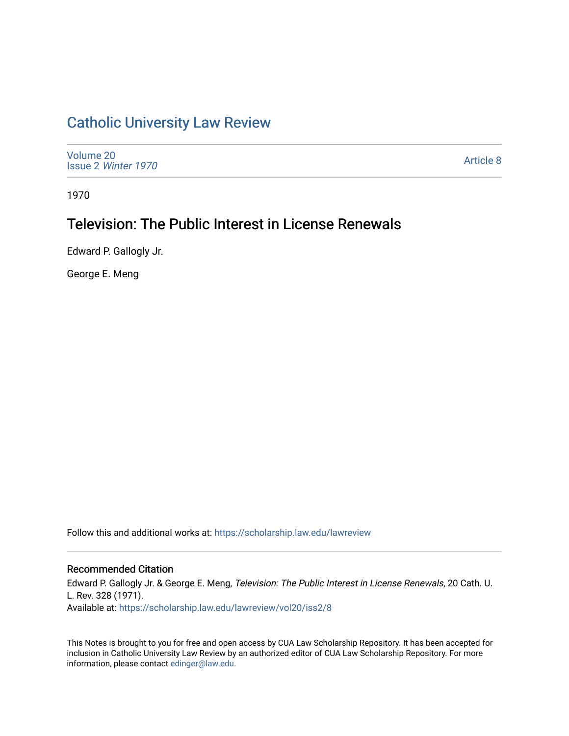## [Catholic University Law Review](https://scholarship.law.edu/lawreview)

[Volume 20](https://scholarship.law.edu/lawreview/vol20) Issue 2 [Winter 1970](https://scholarship.law.edu/lawreview/vol20/iss2) 

[Article 8](https://scholarship.law.edu/lawreview/vol20/iss2/8) 

1970

# Television: The Public Interest in License Renewals

Edward P. Gallogly Jr.

George E. Meng

Follow this and additional works at: [https://scholarship.law.edu/lawreview](https://scholarship.law.edu/lawreview?utm_source=scholarship.law.edu%2Flawreview%2Fvol20%2Fiss2%2F8&utm_medium=PDF&utm_campaign=PDFCoverPages)

### Recommended Citation

Edward P. Gallogly Jr. & George E. Meng, Television: The Public Interest in License Renewals, 20 Cath. U. L. Rev. 328 (1971). Available at: [https://scholarship.law.edu/lawreview/vol20/iss2/8](https://scholarship.law.edu/lawreview/vol20/iss2/8?utm_source=scholarship.law.edu%2Flawreview%2Fvol20%2Fiss2%2F8&utm_medium=PDF&utm_campaign=PDFCoverPages)

This Notes is brought to you for free and open access by CUA Law Scholarship Repository. It has been accepted for inclusion in Catholic University Law Review by an authorized editor of CUA Law Scholarship Repository. For more information, please contact [edinger@law.edu.](mailto:edinger@law.edu)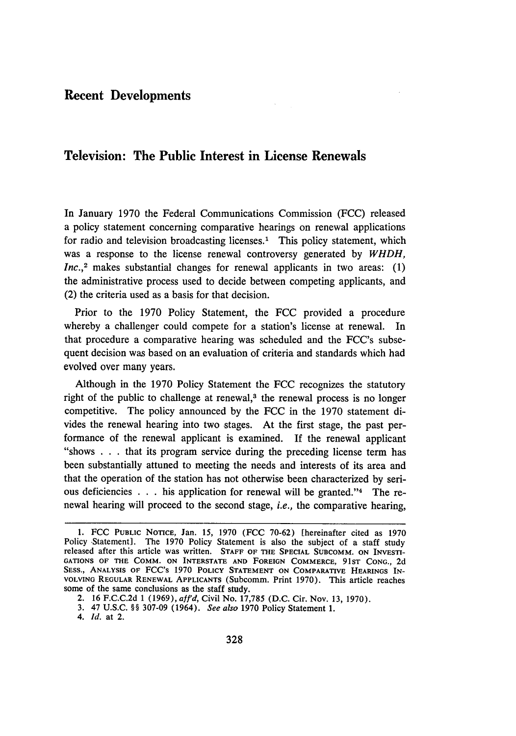## **Recent Developments**

## **Television: The Public Interest in License Renewals**

In January **1970** the Federal Communications Commission **(FCC)** released a policy statement concerning comparative hearings on renewal applications for radio and television broadcasting licenses.<sup>1</sup> This policy statement, which was a response to the license renewal controversy generated **by** *WHDH, Inc.,2* makes substantial changes for renewal applicants in two areas: **(1)** the administrative process used to decide between competing applicants, and (2) the criteria used as a basis for that decision.

Prior to the 1970 Policy Statement, the FCC provided a procedure whereby a challenger could compete for a station's license at renewal. In that procedure a comparative hearing was scheduled and the FCC's subsequent decision was based on an evaluation of criteria and standards which had evolved over many years.

Although in the 1970 Policy Statement the FCC recognizes the statutory right of the public to challenge at renewal,<sup>3</sup> the renewal process is no longer competitive. The policy announced by the FCC in the 1970 statement divides the renewal hearing into two stages. At the first stage, the past performance of the renewal applicant is examined. If the renewal applicant "shows . . . that its program service during the preceding license term has been substantially attuned to meeting the needs and interests of its area and that the operation of the station has not otherwise been characterized by serious deficiencies . . . his application for renewal will be granted."4 The renewal hearing will proceed to the second stage, *i.e.,* the comparative hearing,

**<sup>1.</sup>** FCC PUBLIC **NOTICE,** Jan. *15,* 1970 (FCC 70-62) [hereinafter cited as 1970 Policy Statement]. The 1970 Policy Statement is also the subject of a staff study released after this article was written. **STAFF OF THE SPECIAL SUBCOMM. ON** INVESTI-**GATIONS** OF THE COMM. **ON INTERSTATE AND FOREIGN** COMMERCE, **91ST CONG.,** 2d SESS., ANALYSIS OF FCC's 1970 POLICY STATEMENT ON COMPARATIVE HEARINGS IN-**VOLVING** REGULAR RENEWAL **APPLICANTS** (Subcomm. Print 1970). This article reaches

<sup>2. 16</sup> F.C.C.2d 1 (1969), *affd*, Civil No. 17,785 (D.C. Cir. Nov. 13, 1970).

<sup>3. 47</sup> U.S.C. §§ 307-09 (1964). *See also* 1970 Policy Statement 1.

*<sup>4.</sup> Id.* **at** 2.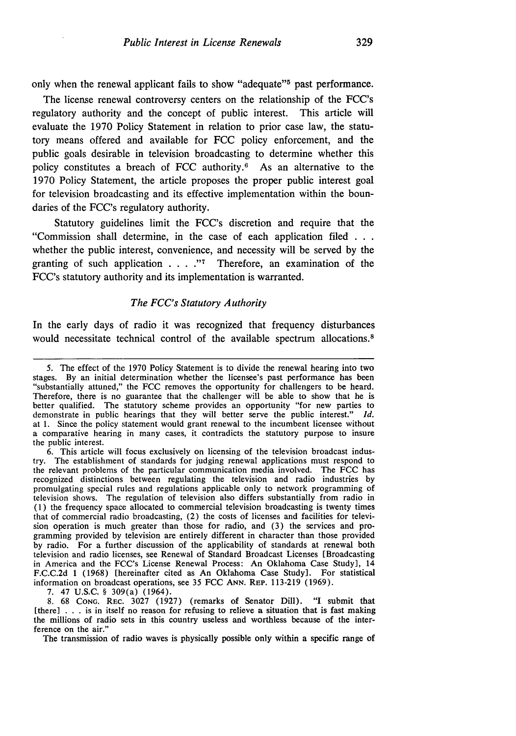only when the renewal applicant fails to show "adequate"<sup>5</sup> past performance.

The license renewal controversy centers on the relationship of the FCC's regulatory authority and the concept of public interest. This article will evaluate the **1970** Policy Statement in relation to prior case law, the statutory means offered and available for **FCC** policy enforcement, and the public goals desirable in television broadcasting to determine whether this policy constitutes a breach of FCC authority.6 As an alternative to the 1970 Policy Statement, the article proposes the proper public interest goal for television broadcasting and its effective implementation within the boundaries of the FCC's regulatory authority.

Statutory guidelines limit the FCC's discretion and require that the "Commission shall determine, in the case of each application filed **. . .** whether the public interest, convenience, and necessity will be served **by** the granting of such application **. . . ."I** Therefore, an examination of the FCC's statutory authority and its implementation is warranted.

#### *The FCC's Statutory Authority*

In the early days of radio it was recognized that frequency disturbances would necessitate technical control of the available spectrum allocations.<sup>8</sup>

6. This article will focus exclusively on licensing of the television broadcast indus-try. The establishment of standards for judging renewal applications must respond to the relevant problems of the particular communication media involved. The FCC has recognized distinctions between regulating the television and radio industries by promulgating special rules and regulations applicable only to network programming of television shows. The regulation of television also differs substantially from radio in (1) the frequency space allocated to commercial television broadcasting is twenty times that of commercial radio broadcasting, (2) the costs of licenses and facilities for television operation is much greater than those for radio, and (3) the services and programming provided by television are entirely different in character than those provided by radio. For a further discussion of the applicability of standards at renewal both television and radio licenses, see Renewal of Standard Broadcast Licenses [Broadcasting in America and the FCC's License Renewal Process: An Oklahoma Case Study], 14 F.C.C.2d 1 (1968) [hereinafter cited as An Oklahoma Case Study]. For statistical information on broadcast operations, see 35 FCC **ANN. REP.** 113-219 (1969).

**7.** 47 U.S.C. § 309(a) (1964).

8. 68 **CONG.** REc. 3027 (1927) (remarks of Senator Dill). "I submit that [there] . . . is in itself no reason for refusing to relieve a situation that is fast making the millions of radio sets in this country useless and worthless because of the interference on the air."

The transmission of radio waves is physically possible only within a specific range of

<sup>5.</sup> The effect of the 1970 Policy Statement is to divide the renewal hearing into two "substantially attuned," the FCC removes the opportunity for challengers to be heard. Therefore, there is no guarantee that the challenger will be able to show that he is better qualified. The statutory scheme provides an opportunity "for new parties to demonstrate in public hearings that they will better serve the public interest." *Id.* at 1. Since the policy statement would grant renewal to the incumbent licensee without a comparative hearing in many cases, it contradicts the statutory purpose to insure the public interest.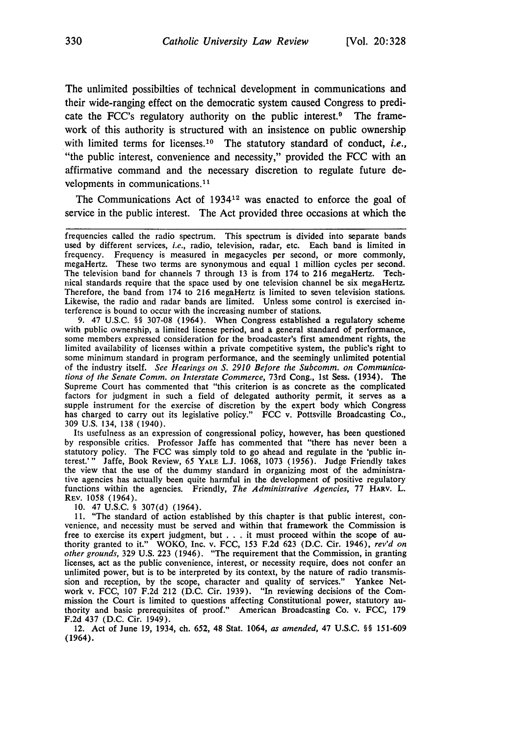The unlimited possibilties of technical development in communications and their wide-ranging effect on the democratic system caused Congress to predicate the FCC's regulatory authority on the public interest. $9$  The framework of this authority is structured with an insistence on public ownership with limited terms for licenses.<sup>10</sup> The statutory standard of conduct, *i.e.*, "the public interest, convenience and necessity," provided the FCC with an affirmative command and the necessary discretion to regulate future developments in communications.<sup>11</sup>

The Communications Act of 1934<sup>12</sup> was enacted to enforce the goal of service in the public interest. The Act provided three occasions at which the

**9.** 47 U.S.C. **§** 307-08 (1964). When Congress established a regulatory scheme with public ownership, a limited license period, and a general standard of performance, some members expressed consideration for the broadcaster's first amendment rights, the limited availability of licenses within a private competitive system, the public's right to some minimum standard in program performance, and the seemingly unlimited potential of the industry itself. *See Hearings on S. 2910 Before the Subcomm. on Communications of the Senate Comm. on Interstate Commerce,* 73rd Cong., 1st Sess. (1934). The Supreme Court has commented that "this criterion is as concrete as the complicated factors for judgment in such a field of delegated authority permit, it serves as a supple instrument for the exercise of discretion by the expert body which Congress has charged to carry out its legislative policy." FCC v. Pottsville Broadcasting Co., 309 U.S. 134, 138 (1940).

Its usefulness as an expression of congressional policy, however, has been questioned by responsible critics. Professor Jaffe has commented that "there has never been a statutory policy. The FCC was simply told to go ahead and regulate in the 'public interest.'" Jaffe, Book Review, 65 **YALE** L.J. 1068, 1073 (1956). Judge Friendly takes the view that the use of the dummy standard in organizing most of the administrative agencies has actually been quite harmful in the development of positive regulatory functions within the agencies. Friendly, *The Administrative Agencies,* 77 HARV. L. REV. 1058 (1964).

10. 47 U.S.C. § 307(d) (1964).

11. "The standard of action established by this chapter is that public interest, con- venience, and necessity must be served and within that framework the Commission is free to exercise its expert judgment, but . . . it must proceed within the scope of authority granted to it." WOKO, Inc. v. FCC, 153 F.2d 623 (D.C. Cir. 1946), rev'd on other grounds, 329 U.S. 223 (1946). "The requirement licenses, act as the public convenience, interest, or necessity require, does not confer an unlimited power, but is to be interpreted by its context, by the nature of radio transmission and reception, by the scope, character and quality of services." Yankee Network v. FCC, 107 F.2d 212 (D.C. Cir. 1939). "In reviewing decisions of the Commission the Court is limited to questions affecting Constitutional power, statutory au- thority and basic prerequisites of proof." American Broadcasting **Co.** v. **FCC, 179** F.2d 437 (D.C. Cir. 1949).

12. Act of June 19, 1934, ch. 652, 48 Stat. 1064, *as amended,* 47 U.S.C. §§ 151-609 (1964).

frequencies called the radio spectrum. This spectrum is divided into separate bands used by different services, *i.e.,* radio, television, radar, etc. Each band is limited in frequency. Frequency is measured in megacycles per second, or more commonly, megaHertz. These two terms are synonymous and equal 1 million cycles per second. The television band for channels 7 through 13 is from 174 to 216 megaHertz. Technical standards require that the space used by one television channel be six megaHertz. Therefore, the band from 174 to 216 megaHertz is limited to seven television stations. Likewise, the radio and radar bands are limited. Unless some control is exercised interference is bound to occur with the increasing number of stations.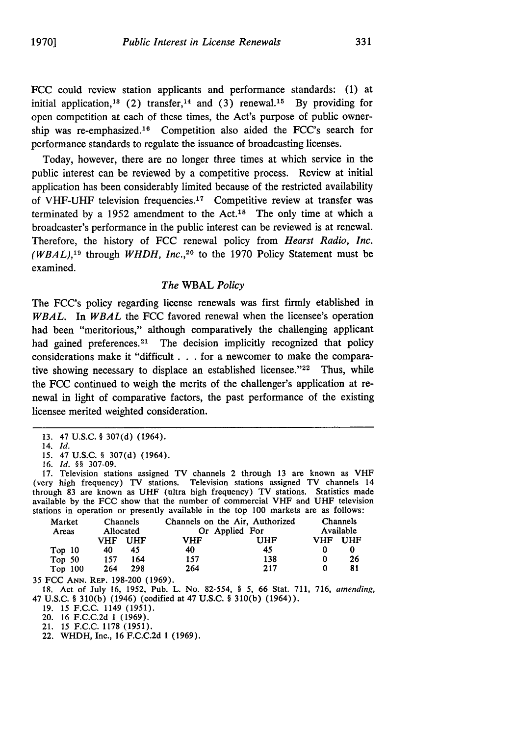FCC could review station applicants and performance standards: (1) at initial application,<sup>13</sup> (2) transfer,<sup>14</sup> and (3) renewal.<sup>15</sup> By providing for open competition at each of these times, the Act's purpose of public ownership was re-emphasized.<sup>16</sup> Competition also aided the FCC's search for performance standards to regulate the issuance of broadcasting licenses.

Today, however, there are no longer three times at which service in the public interest can be reviewed by a competitive process. Review at initial application has been considerably limited because of the restricted availability of VHF-UHF television frequencies. 17 Competitive review at transfer was terminated by a 1952 amendment to the Act.<sup>18</sup> The only time at which a broadcaster's performance in the public interest can be reviewed is at renewal. Therefore, the history of **FCC** renewal policy from *Hearst Radio, Inc. (WBAL),*<sup>19</sup> through *WHDH, Inc.*,<sup>20</sup> to the 1970 Policy Statement must be examined.

#### *The* WBAL *Policy*

The FCC's policy regarding license renewals was first firmly etablished in *WBAL.* In *WBAL* the FCC favored renewal when the licensee's operation had been "meritorious," although comparatively the challenging applicant had gained preferences.<sup>21</sup> The decision implicitly recognized that policy considerations make it "difficult . . . for a newcomer to make the comparative showing necessary to displace an established licensee."<sup>22</sup> Thus, while the FCC continued to weigh the merits of the challenger's application at renewal in light of comparative factors, the past performance of the existing licensee merited weighted consideration.

- 13. 47 U.S.C. § 307(d) (1964).
- 14. *Id.*
- 15. 47 U.S.C. § 307(d) (1964). 16. *Id. §§* 307-09.

17. Television stations assigned TV channels 2 through 13 are known as VHF (very high frequency) TV stations. Television stations assigned TV channels 14 through 83 are known as UHF (ultra high frequency) TV stations. Statistics made available by the FCC show that the number of commercial VHF and UHF television stations in operation or presently available in the top 100 markets are as follows:

| Market<br>Areas                  | Channels<br>Allocated |         | Channels on the Air, Authorized<br>Or Applied For |     | Channels<br>Available |     |
|----------------------------------|-----------------------|---------|---------------------------------------------------|-----|-----------------------|-----|
|                                  |                       | VHF UHF | VHF                                               | UHF | VHF UHF               |     |
| Top <sub>10</sub>                | 40                    | 45      | 40                                                | 45  |                       | 0   |
| Top 50                           | 157                   | 164     | 157                                               | 138 | 0                     | 26  |
| Top 100                          | 264                   | 298     | 264                                               | 217 | 0                     | -81 |
| 35 FCC ANN. REP. 198-200 (1969). |                       |         |                                                   |     |                       |     |

18. Act of July 16, **1952,** Pub. L. No. 82-554, § 5, 66 Stat. 711, 716, *amending,* 47 U.S.C. § 310(b) (1946) (codified at 47 U.S.C. § 310(b) (1964)).

19. 15 F.C.C. 1149 **(1951).**

20. 16 F.C.C.2d 1 (1969).

21. 15 F.C.C. 1178 (1951).

22. WHDH, Inc., 16 F.C.C.2d 1 (1969).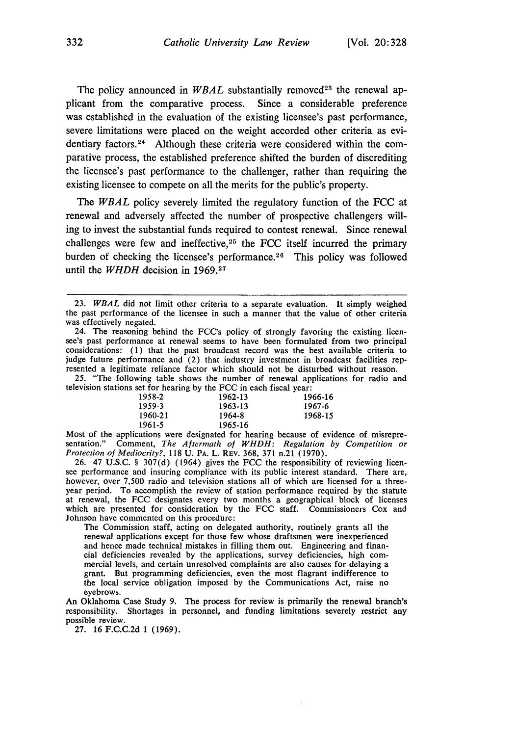The policy announced in  $WBAL$  substantially removed<sup>23</sup> the renewal applicant from the comparative process. Since a considerable preference was established in the evaluation of the existing licensee's past performance, severe limitations were placed on the weight accorded other criteria as evidentiary factors.<sup>24</sup> Although these criteria were considered within the comparative process, the established preference shifted the burden of discrediting the licensee's past performance to the challenger, rather than requiring the existing licensee to compete on all the merits for the public's property.

The *WBAL* policy severely limited the regulatory function of the **FCC** at renewal and adversely affected the number of prospective challengers willing to invest the substantial funds required to contest renewal. Since renewal challenges were few and ineffective,  $25$  the FCC itself incurred the primary burden of checking the licensee's performance.<sup>26</sup> This policy was followed until the *WHDH* decision in **1969.27**

*25.* "The following table shows the number of renewal applications for radio and television stations set for hearing by the FCC in each fiscal year:

| 1958-2  | 1962-13 | 1966-16 |
|---------|---------|---------|
| 1959-3  | 1963-13 | 1967-6  |
| 1960-21 | 1964-8  | 1968-15 |
| 1961-5  | 1965-16 |         |

Most of the applications were designated for hearing because of evidence of misrepresentation." Comment, *The Aftermath of WHDH: Regulation by Competition or Protection of Mediocrity?,* 118 U. PA. L. REV. 368, 371 n.21 (1970).

26. 47 U.S.C. § 307(d) (1964) gives the FCC the responsibility of reviewing licen see performance and insuring compliance with its public interest standard. There are, however, over 7,500 radio and television stations all of which are licensed for a threeyear period. To accomplish the review of station performance required by the statute at renewal, the FCC designates every two months a geographical block of licenses which are presented for consideration by the FCC staff. Commissioners Cox and Johnson have commented on this procedure:

The Commission staff, acting on delegated authority, routinely grants all the renewal applications except for those few whose draftsmen were inexperienced and hence made technical mistakes in filling them out. Engineering and financial deficiencies revealed by the applications, survey deficiencies, high commercial levels, and certain unresolved complaints are also causes for delaying a grant. But programming deficiencies, even the most flagrant indi the local service obligation imposed by the Communications Act, raise no eyebrows.

An Oklahoma Case Study **9.** The process for review is primarily the renewal branch's responsibility. Shortages in personnel, and funding limitations severely restrict any possible review.

27. 16 F.C.C.2d 1 (1969).

<sup>23.</sup> *WBAL* did not limit other criteria to a separate evaluation. It simply weighed the past performance of the licensee in such a manner that the value of other criteria was effectively negated.

<sup>24.</sup> The reasoning behind the FCC's policy of strongly favoring the existing licensee's past performance at renewal seems to have been formulated from two principal considerations: (1) that the past broadcast record was the best available criteria to judge future performance and (2) that industry investment in broadcast facilities represented a legitimate reliance factor which should not be disturbed without reason.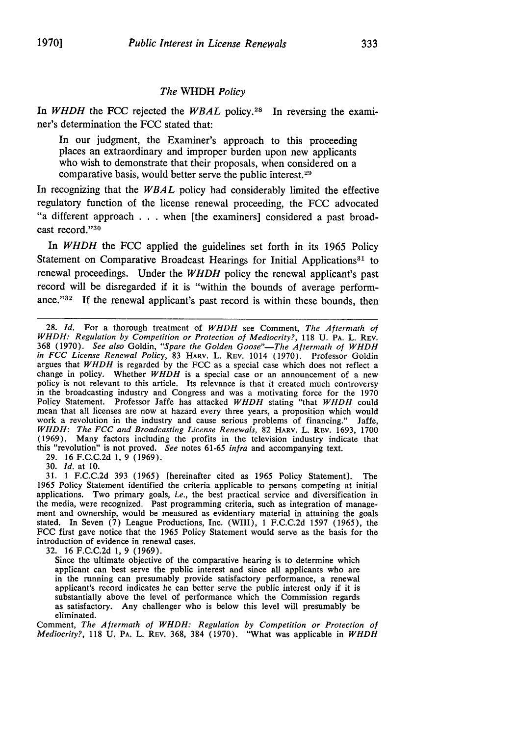#### *The* WHDH *Policy*

In *WHDH* the FCC rejected the *WBAL* policy.<sup>28</sup> In reversing the examiner's determination the FCC stated that:

In our judgment, the Examiner's approach to this proceeding places an extraordinary and improper burden upon new applicants who wish to demonstrate that their proposals, when considered on a comparative basis, would better serve the public interest.<sup>29</sup>

In recognizing that the *WBAL* policy had considerably limited the effective regulatory function of the license renewal proceeding, the FCC advocated "a different approach . . . when [the examiners] considered a past broadcast record."30

In *WHDH* the FCC applied the guidelines set forth in its 1965 Policy Statement on Comparative Broadcast Hearings for Initial Applications<sup>31</sup> to renewal proceedings. Under the *WHDH* policy the renewal applicant's past record will be disregarded if it is "within the bounds of average performance."<sup>32</sup> If the renewal applicant's past record is within these bounds, then

29. 16 F.C.C.2d 1, 9 (1969).

30. *Id.* at 10.

31. 1 F.C.C.2d 393 (1965) [hereinafter cited as 1965 Policy Statement]. The 1965 Policy Statement identified the criteria applicable to persons competing at initial applications. Two primary goals, *i.e.,* the best practical service and diversification in the media, were recognized. Past programming criteria, such as integration of management and ownership, would be measured as evidentiary material in attaining the goals stated. In Seven (7) League Productions, Inc. (WIll), 1 F.C.C.2d 1597 (1965), the FCC first gave notice that the 1965 Policy Statement would serve as the basis for the introduction of evidence in renewal cases.

32. 16 F.C.C.2d 1, 9 (1969).

Since the ultimate objective of the comparative hearing is to determine which applicant can best serve the public interest and since all applicants who are in the running can presumably provide satisfactory performance, a renewal applicant's record indicates he can better serve the public interest only if it is substantially above the level of performance which the Commission regards as satisfactory. Any challenger who is below this level will presumably be eliminated.

Comment, *The Aftermath of WHDH: Regulation by Competition or Protection of Mediocrity?,* 118 U. PA. L. REV. 368, 384 (1970). "What was applicable in *WHDH*

<sup>28.</sup> *Id.* For a thorough treatment of *WHDH* see Comment, *The Aftermath of* WHDH: *Regulation by Competition or Protection of Mediocrity?,* 118 U. PA. L. REV. 368 (1970). *See also* Goldin, *"Spare the Golden Goose"-The Aftermath of WHDH in FCC License Renewal Policy,* 83 HARV. L. REV. 1014 (1970). Professor Goldin argues that  $WHDH$  is regarded by the FCC as a special case which does not reflect a change in policy. Whether  $WHDH$  is a special case or an announcement of a new policy is not relevant to this article. Its relevance is that it created much controversy in the broadcasting industry and Congress and was a motivating force for the 1970 Policy Statement. Professor Jaffe has attacked *WHDH* stating "that *WHDH* could mean that all licenses are now at hazard every three years, a proposition which would mean that all licenses are now at hazard every three years, a proposition which would work a revolution in the industry and cause serious problems of financing." Jaffe, *WHDH: The FCC and Broadcasting License Renewals,* 82 HARV. L. REV. 1693, 1700 (1969). Many factors including the profits in the television industry indicate that this "revolution" is not proved. *See* notes 61-65 *infra* and accompanying text.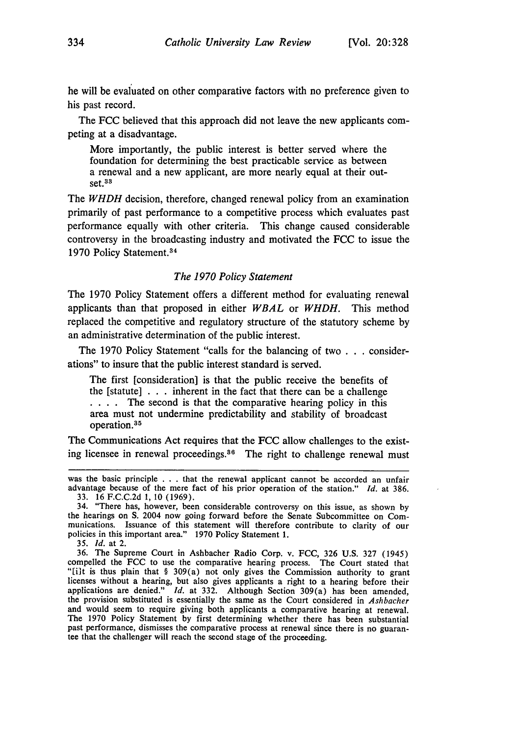he will be evaluated on other comparative factors with no preference given to his past record.

The FCC believed that this approach did not leave the new applicants competing at a disadvantage.

More importantly, the public interest is better served where the foundation for determining the best practicable service as between a renewal and a new applicant, are more nearly equal at their out**set.33**

The *WHDH* decision, therefore, changed renewal policy from an examination primarily of past performance to a competitive process which evaluates past performance equally with other criteria. This change caused considerable controversy in the broadcasting industry and motivated the FCC to issue the 1970 Policy Statement.<sup>34</sup>

#### *The 1970 Policy Statement*

The 1970 Policy Statement offers a different method for evaluating renewal applicants than that proposed in either *WBAL* or *WHDH.* This method replaced the competitive and regulatory structure of the statutory scheme by an administrative determination of the public interest.

The 1970 Policy Statement "calls for the balancing of two . . . considerations" to insure that the public interest standard is served.

The first [consideration] is that the public receive the benefits of the [statute]  $\ldots$  inherent in the fact that there can be a challenge **... .** The second is that the comparative hearing policy in this area must not undermine predictability and stability of broadcast operation.<sup>35</sup>

The Communications Act requires that the FCC allow challenges to the existing licensee in renewal proceedings.86 The right to challenge renewal must

*35. Id.* at 2.

36. The Supreme Court in Ashbacher Radio Corp. v. FCC, 326 U.S. 327 (1945) compelled the FCC to use the comparative hearing process. The Court stated that "[i]t is thus plain that § 309(a) not only gives the Commission authority to grant licenses without a hearing, but also gives applicants a right to a hearing before their applications are denied." *Id.* at 332. Although Section 309(a) has been amended, the provision substituted is essentially the same as the Court considered in *Ashbacher* and would seem to require giving both applicants a comparative hearing at renewal. The 1970 Policy Statement by first determining whether there has been substantial past performance, dismisses the comparative process at renewal since there is no guarantee that the challenger will reach the second stage of the proceeding.

was the basic principle . . . that the renewal applicant cannot be accorded an unfair advantage because of the mere fact of his prior operation of the station." *Id.* at 386. 33. 16 F.C.C.2d 1, **10** (1969).

<sup>34. &</sup>quot;There has, however, been considerable controversy on this issue, as shown by the hearings on S. 2004 now going forward before the Senate Subcommittee on Communications. Issuance of this statement will therefore contribute to clarity of our policies in this important area." 1970 Policy Statement 1.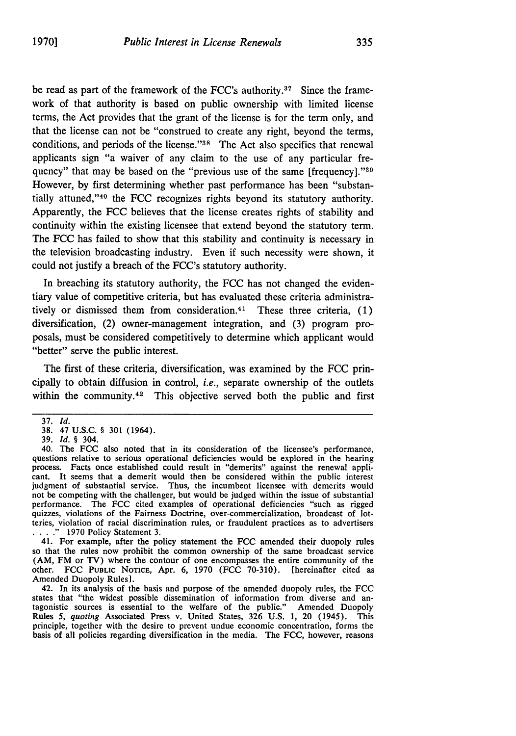be read as part of the framework of the FCC's authority **. <sup>7</sup>**Since the framework of that authority is based on public ownership with limited license terms, the Act provides that the grant of the license is for the term only, and that the license can not be "construed to create any right, beyond the terms, conditions, and periods of the license." $38$  The Act also specifies that renewal applicants sign "a waiver of any claim to the use of any particular frequency" that may be based on the "previous use of the same [frequency]."<sup>39</sup> However, by first determining whether past performance has been "substantially attuned, '40 the **FCC** recognizes rights beyond its statutory authority. Apparently, the FCC believes that the license creates rights of stability and continuity within the existing licensee that extend beyond the statutory term. The FCC has failed to show that this stability and continuity is necessary in the television broadcasting industry. Even if such necessity were shown, it could not justify a breach of the FCC's statutory authority.

In breaching its statutory authority, the FCC has not changed the evidentiary value of competitive criteria, but has evaluated these criteria administratively or dismissed them from consideration. 41 These three criteria, (1) diversification, (2) owner-management integration, and (3) program proposals, must be considered competitively to determine which applicant would "better" serve the public interest.

The first of these criteria, diversification, was examined by the FCC principally to obtain diffusion in control, *i.e.,* separate ownership of the outlets within the community.<sup>42</sup> This objective served both the public and first

39. *Id. §* 304.

so that the rules now prohibit the common ownership of the same broadcast service (AM, FM or TV) where the contour of one encompasses the entire community of the other. FCC **PUBLIC NOTICE,** Apr. 6, 1970 (FCC 70-310). [hereinafter cited as Amended Duopoly Rules].

42. In its analysis of the basis and purpose of the amended duopoly rules, the FCC states that "the widest possible dissemination of information from diverse and antagonistic sources is essential to the welfare of the public." Amended Duopoly Rules *5, quoting* Associated Press v. United States, 326 **U.S. 1,** 20 (1945). This principle, together with the desire to prevent undue economic concentration, forms the basis of all policies regarding diversification in the media. The FCC, however, reasons

<sup>37.</sup> *Id.*

<sup>38. 47</sup> U.S.C. § 301 (1964).

<sup>40.</sup> The FCC also noted that in its consideration of the licensee's performance, questions relative to serious operational deficiencies would be explored in the hearing process. Facts once established could result in "demerits" against the renewal applicant. It seems that a demerit would then be considered within the public interest judgment of substantial service. Thus, the incumbent licensee with demerits would not be competing with the challenger, but would be judged within the issue of substantial performance. The FCC cited examples of operational deficiencies "such as rigged quizzes, violations of the Fairness Doctrine, over-commercialization, broadcast of lotteries, violation of racial discrimination rules, or fraudulent practices as to advertisers ...." 1970 Policy Statement 3.<br>41. For example, after the policy statement the FCC amended their duopoly rules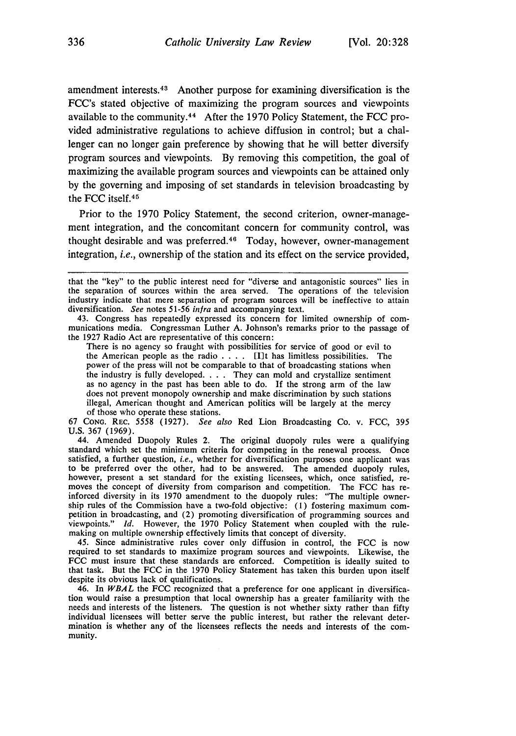amendment interests. 43 Another purpose for examining diversification is the FCC's stated objective of maximizing the program sources and viewpoints available to the community. 44 After the 1970 Policy Statement, the FCC provided administrative regulations to achieve diffusion in control; but a challenger can no longer gain preference by showing that he will better diversify program sources and viewpoints. By removing this competition, the goal of maximizing the available program sources and viewpoints can be attained only by the governing and imposing of set standards in television broadcasting by the FCC itself. <sup>45</sup>

Prior to the 1970 Policy Statement, the second criterion, owner-management integration, and the concomitant concern for community control, was thought desirable and was preferred.<sup>46</sup> Today, however, owner-management integration, *i.e.,* ownership of the station and its effect on the service provided,

There is no agency so fraught with possibilities for service of good or evil to the American people as the radio . **. .** . [I]t has limitless possibilities. The power of the press will not be comparable to that of broadcasting stations when the industry is fully developed. . **.** . They can mold and crystallize sentiment as no agency in the past has been able to do. **If** the strong arm of the law does not prevent monopoly ownership and make discrimination by such stations illegal, American thought and American politics will be largely at the mercy of those who operate these stations.

67 **CONG.** REC. 5558 (1927). *See also* Red Lion Broadcasting Co. v. FCC, 395 U.S. 367 (1969).

44. Amended Duopoly Rules 2. The original duopoly rules were a qualifying standard which set the minimum criteria for competing in the renewal process. Once satisfied, a further question, *i.e.,* whether for diversification purposes one applicant was to be preferred over the other, had to be answered. The amended duopoly rules, however, present a set standard for the existing licensees, which, once satisfied, re-moves the concept of diversity from comparison and competition. The FCC has reinforced diversity in its 1970 amendment to the duopoly rules: "The multiple owner-<br>ship rules of the Commission have a two-fold objective: (1) fostering maximum com-<br>petition in broadcasting, and (2) promoting diversifica viewpoints." *Id.* However, the 1970 Policy Statement when coupled with the rulemaking on multiple ownership effectively limits that concept of diversity.

45. Since administrative rules cover only diffusion in control, the FCC is now required to set standards to maximize program sources and viewpoints. Likewise, the FCC must insure that these standards are enforced. Competition is ideally suited to that task. But the FCC in the 1970 Policy Statement has taken this burden upon itself despite its obvious lack of qualifications.

46. In *WBAL* the **FCC** recognized that a preference for one applicant in diversification would raise a presumption that local ownership has a greater familiarity with the needs and interests of the listeners. The question is not whether sixty rather than **fifty** individual licensees will better serve the public interest, but rather the relevant determination is whether any of the licensees reflects the needs and interests of the community.

that the "key" to the public interest need for "diverse and antagonistic sources" lies in the separation of sources within the area served. The operations of the television industry indicate that mere separation of program sources will be ineffective to attain diversification. *See* notes 51-56 *infra* and accompanying text.<br>43. Congress has repeatedly expressed its concern for limited ownership of com-

munications media. Congressman Luther A. Johnson's remarks prior to the passage of the 1927 Radio Act are representative of this concern: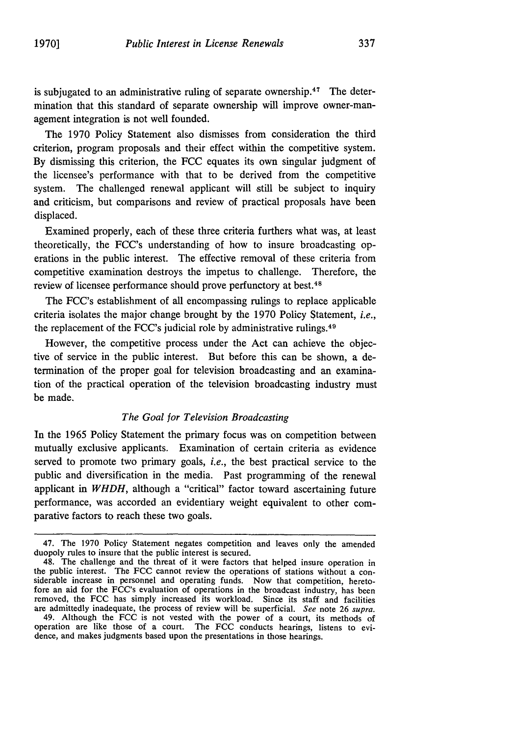is subjugated to an administrative ruling of separate ownership.<sup>47</sup> The determination that this standard of separate ownership will improve owner-management integration is not well founded.

The 1970 Policy Statement also dismisses from consideration the third criterion, program proposals and their effect within the competitive system. By dismissing this criterion, the FCC equates its own singular judgment of the licensee's performance with that to be derived from the competitive system. The challenged renewal applicant will still be subject to inquiry and criticism, but comparisons and review of practical proposals have been displaced.

Examined properly, each of these three criteria furthers what was, at least theoretically, the FCC's understanding of how to insure broadcasting operations in the public interest. The effective removal of these criteria from competitive examination destroys the impetus to challenge. Therefore, the review of licensee performance should prove perfunctory at best. <sup>48</sup>

The FCC's establishment of all encompassing rulings to replace applicable criteria isolates the major change brought by the 1970 Policy Statement, *i.e.,* the replacement of the FCC's judicial role by administrative rulings. <sup>49</sup>

However, the competitive process under the Act can achieve the objective of service in the public interest. But before this can be shown, a determination of the proper goal for television broadcasting and an examination of the practical operation of the television broadcasting industry must be made.

### *The Goal for Television Broadcasting*

In the 1965 Policy Statement the primary focus was on competition between mutually exclusive applicants. Examination of certain criteria as evidence served to promote two primary goals, *i.e.,* the best practical service to the public and diversification in the media. Past programming of the renewal applicant in *WHDH,* although a "critical" factor toward ascertaining future performance, was accorded an evidentiary weight equivalent to other comparative factors to reach these two goals.

<sup>47.</sup> The 1970 Policy Statement negates competition and leaves only the amended duopoly rules to insure that the public interest is secured.

<sup>48.</sup> The challenge and the threat of it were factors that helped insure operation in the public interest. The FCC cannot review the operations of stations without a considerable increase in personnel and operating funds. Now that competition, heretofore an aid for the FCC's evaluation of operations in the broadcast industry, has been removed, the FCC has simply increased its workload. Since its staff and facilities are admittedly inadequate, the process of review will be superficial. See note 26 supra. 49. Although the FCC is not vested with the power of a court, its methods of

operation are like those of a court. The FCC conducts hearings, listens to evidence, and makes judgments based upon the presentations in those hearings.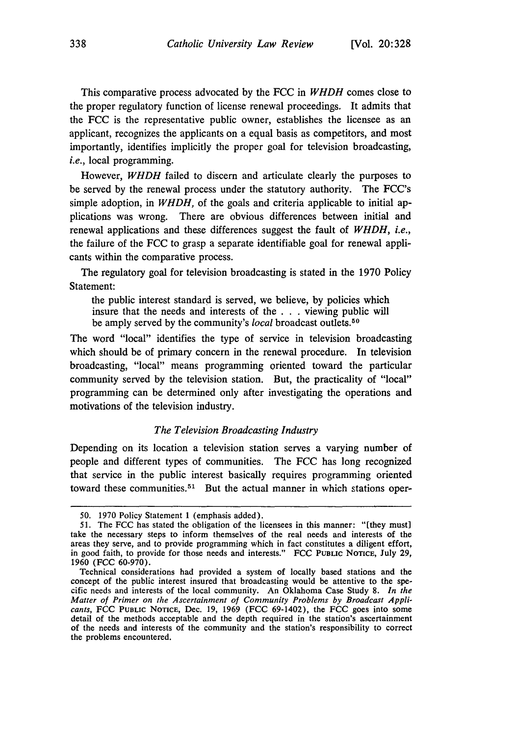This comparative process advocated by the FCC in *WHDH* comes close to the proper regulatory function of license renewal proceedings. It admits that the FCC is the representative public owner, establishes the licensee as an applicant, recognizes the applicants on a equal basis as competitors, and most importantly, identifies implicitly the proper goal for television broadcasting, *i.e.,* local programming.

However, *WHDH* failed to discern and articulate clearly the purposes to be served by the renewal process under the statutory authority. The FCC's simple adoption, in *WHDH*, of the goals and criteria applicable to initial applications was wrong. There are obvious differences between initial and renewal applications and these differences suggest the fault of *WHDH, i.e.,* the failure of the FCC to grasp a separate identifiable goal for renewal applicants within the comparative process.

The regulatory goal for television broadcasting is stated in the 1970 Policy Statement:

the public interest standard is served, we believe, by policies which insure that the needs and interests of the . . . viewing public will be amply served by the community's *local* broadcast outlets. <sup>50</sup>

The word "local" identifies the type of service in television broadcasting which should be of primary concern in the renewal procedure. In television broadcasting, "local" means programming oriented toward the particular community served by the television station. But, the practicality of "local" programming can be determined only after investigating the operations and motivations of the television industry.

#### *The Television Broadcasting Industry*

Depending on its location a television station serves a varying number of people and different types of communities. The FCC has long recognized that service in the public interest basically requires programming oriented toward these communities.<sup>51</sup> But the actual manner in which stations oper-

<sup>50. 1970</sup> Policy Statement 1 (emphasis added).

<sup>51.</sup> The FCC has stated the obligation of the licensees in this manner: "[they must] take the necessary steps to inform themselves of the real needs and interests of the areas they serve, and to provide programming which in fact constitutes a diligent effort, in good faith, to provide for those needs and interests." FCC PUBLIC **NOTICE,** July 29, 1960 (FCC 60-970).

Technical considerations had provided a system of locally based stations and the concept of the public interest insured that broadcasting would be attentive to the specific needs and interests of the local community. An Oklahoma Case Study 8. *In the Matter of Primer on the Ascertainment of Community Problems by Broadcast Applicants,* FCC **PUBLIC** NOTICE, Dec. 19, 1969 (FCC 69-1402), the FCC goes into some detail of the methods acceptable and the depth required in the station's ascertainment of the needs and interests of the community and the station's responsibility to correct the problems encountered.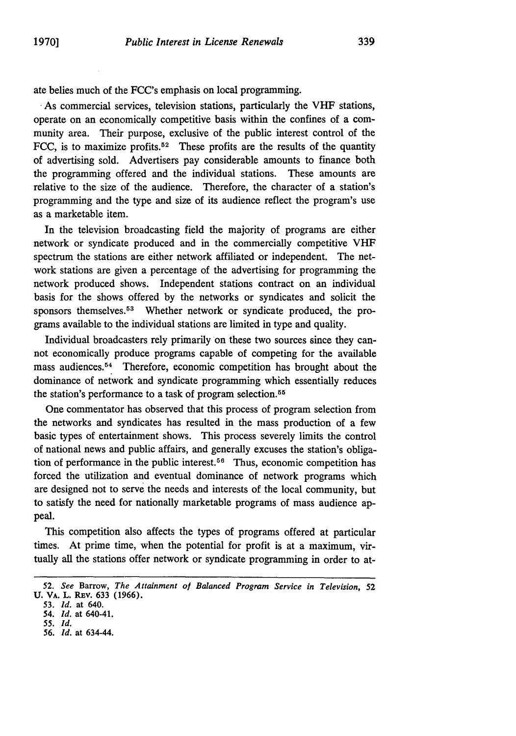ate belies much of the FCC's emphasis on local programming.

**.**As commercial services, television stations, particularly the VHF stations, operate on an economically competitive basis within the confines of a community area. Their purpose, exclusive of the public interest control of the FCC, is to maximize profits.<sup>52</sup> These profits are the results of the quantity of advertising sold. Advertisers pay considerable amounts to finance both the programming offered and the individual stations. These amounts are relative to the size of the audience. Therefore, the character of a station's programming and the type and size of its audience reflect the program's use as a marketable item.

In the television broadcasting field the majority of programs are either network or syndicate produced and in the commercially competitive VHF spectrum the stations are either network affiliated or independent. The network stations are given a percentage of the advertising for programming the network produced shows. Independent stations contract on an individual basis for the shows offered by the networks or syndicates and solicit the sponsors themselves.<sup>53</sup> Whether network or syndicate produced, the programs available to the individual stations are limited in type and quality.

Individual broadcasters rely primarily on these two sources since they cannot economically produce programs capable of competing for the available mass audiences.<sup>54</sup> Therefore, economic competition has brought about the dominance of network and syndicate programming which essentially reduces the station's performance to a task of program selection. <sup>55</sup>

One commentator has observed that this process of program selection from the networks and syndicates has resulted in the mass production of a few basic types of entertainment shows. This process severely limits the control of national news and public affairs, and generally excuses the station's obligation of performance in the public interest.<sup>56</sup> Thus, economic competition has forced the utilization and eventual dominance of network programs which are designed not to serve the needs and interests of the local community, but to satisfy the need for nationally marketable programs of mass audience appeal.

This competition also affects the types of programs offered at particular times. At prime time, when the potential for profit is at a maximum, virtually all the stations offer network or syndicate programming in order to at-

**53.** *Id.* **at** 640.

*55. Id.*

*<sup>52.</sup> See* Barrow, *The Attainment of Balanced Program Service in Television, 52* **U. VA. L. REv. 633 (1966).**

*<sup>54.</sup> Id.* **at** 640-41.

**<sup>56.</sup>** *Id.* **at** 634-44.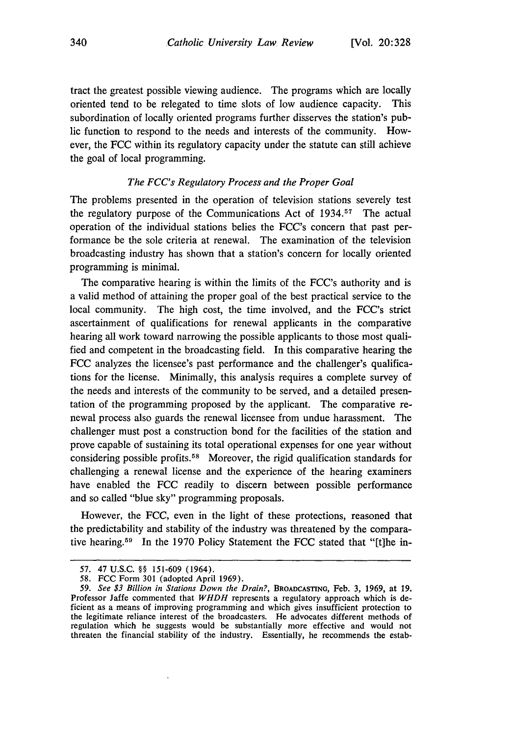tract the greatest possible viewing audience. The programs which are locally oriented tend to be relegated to time slots of low audience capacity. This subordination of locally oriented programs further disserves the station's public function to respond to the needs and interests of the community. However, the **FCC** within its regulatory capacity under the statute can still achieve the goal of local programming.

#### *The FCC's Regulatory Process and the Proper Goal*

The problems presented in the operation of television stations severely test the regulatory purpose of the Communications Act of  $1934$ <sup>57</sup>. The actual operation of the individual stations belies the FCC's concern that past performance be the sole criteria at renewal. The examination of the television broadcasting industry has shown that a station's concern for locally oriented programming is minimal.

The comparative hearing is within the limits of the FCC's authority and is a valid method of attaining the proper goal of the best practical service to the local community. The high cost, the time involved, and the FCC's strict ascertainment of qualifications for renewal applicants in the comparative hearing all work toward narrowing the possible applicants to those most qualified and competent in the broadcasting field. In this comparative hearing the **FCC** analyzes the licensee's past performance and the challenger's qualifications for the license. Minimally, this analysis requires a complete survey of the needs and interests of the community to be served, and a detailed presentation of the programming proposed **by** the applicant. The comparative renewal process also guards the renewal licensee from undue harassment. The challenger must post a construction bond for the facilities of the station and prove capable of sustaining its total operational expenses for one year without considering possible profits. 58 Moreover, the rigid qualification standards for challenging a renewal license and the experience of the hearing examiners have enabled the **FCC** readily to discern between possible performance and so called "blue sky" programming proposals.

However, the **FCC,** even in the light of these protections, reasoned that the predictability and stability of the industry was threatened **by** the comparative hearing.<sup>59</sup> In the 1970 Policy Statement the FCC stated that "[t]he in-

**<sup>57.</sup>** 47 **U.S.C.** §§ **151-609** (1964).

**<sup>58.</sup> FCC** Form **301** (adopted April **1969).**

*<sup>59.</sup> See \$3 Billion in Stations Down* the Drain?, **BROADCASTING, Feb. 3, 1969, at 19.** Professor Jaffe commented that *WHDH* represents a regulatory approach which is deficient as a means of improving programming and which gives insufficient protection to the legitimate reliance interest of the broadcasters. He advocates different methods of regulation which he suggests would be substantially more effective and would not threaten the financial stability of the industry. Essentially, he recommends the estab-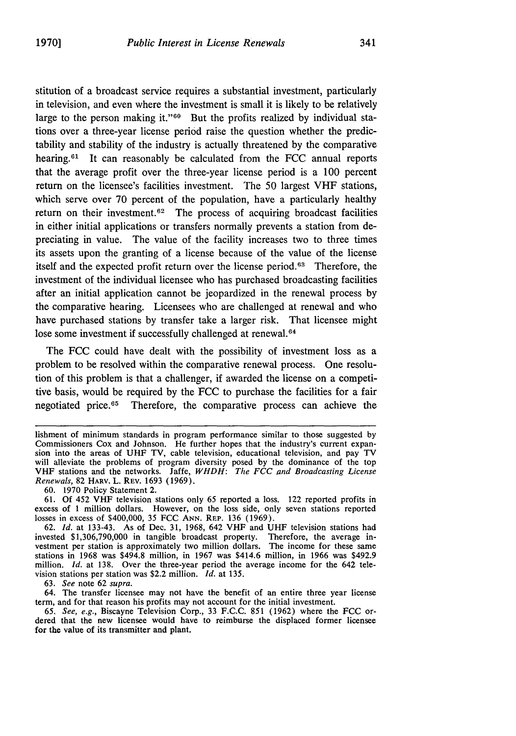stitution of a broadcast service requires a substantial investment, particularly in television, and even where the investment is small it is likely to be relatively large to the person making it."<sup>60</sup> But the profits realized by individual stations over a three-year license period raise the question whether the predictability and stability of the industry is actually threatened by the comparative hearing.<sup>61</sup> It can reasonably be calculated from the FCC annual reports that the average profit over the three-year license period is a 100 percent return on the licensee's facilities investment. The 50 largest VHF stations, which serve over 70 percent of the population, have a particularly healthy return on their investment.<sup>62</sup> The process of acquiring broadcast facilities in either initial applications or transfers normally prevents a station from depreciating in value. The value of the facility increases two to three times its assets upon the granting of a license because of the value of the license itself and the expected profit return over the license period.<sup>63</sup> Therefore, the investment of the individual licensee who has purchased broadcasting facilities after an initial application cannot be jeopardized in the renewal process by the comparative hearing. Licensees who are challenged at renewal and who have purchased stations by transfer take a larger risk. That licensee might lose some investment if successfully challenged at renewal.<sup>64</sup>

The FCC could have dealt with the possibility of investment loss as a problem to be resolved within the comparative renewal process. One resolution of this problem is that a challenger, if awarded the license on a competitive basis, would be required by the **FCC** to purchase the facilities for a fair negotiated price.<sup>65</sup> Therefore, the comparative process can achieve the

60. 1970 Policy Statement 2.

61. Of 452 VHF television stations only 65 reported a loss. 122 reported profits in excess of 1 million dollars. However, on the loss side, only seven stations reported losses in excess of \$400,000, 35 FCC **ANN.** REP. 136 (1969).

63. *See* note 62 *supra.*

64. The transfer licensee may not have the benefit of an entire three year license term, and for that reason his profits may not account for the initial investment.

*65. See, e.g.,* Biscayne Television Corp., 33 F.C.C. 851 (1962) where the FCC ordered that the new licensee would have to reimburse the displaced former licensee for the value of its transmitter and plant.

lishment of minimum standards in program performance similar to those suggested by Commissioners Cox and Johnson. He further hopes that the industry's current expansion into the areas of UHF TV, cable television, educational television, and pay TV will alleviate the problems of program diversity posed by the dominance of the top VHF stations and the networks. Jaffe, *WHDH: The FCC and Broadcasting License Renewals,* 82 HARV. L. REV. 1693 (1969).

<sup>62.</sup> *Id.* at 133-43. As of Dec. 31, 1968, 642 VHF and UHF television stations had invested \$1,306,790,000 in tangible broadcast property. Therefore, the average investment per station is approximately two million dollars. The income for these same stations in 1968 was \$494.8 million, in 1967 was \$414.6 million, in 1966 was \$492.9 million. *Id.* at 138. Over the three-year period the average income for the 642 television stations per station was \$2.2 million. *Id.* at 135.